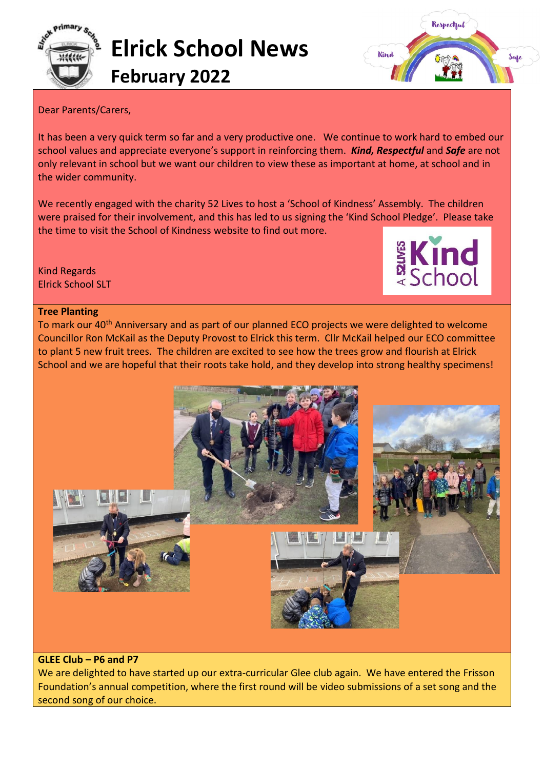



## Dear Parents/Carers,

It has been a very quick term so far and a very productive one. We continue to work hard to embed our school values and appreciate everyone's support in reinforcing them. *Kind, Respectful* and *Safe* are not only relevant in school but we want our children to view these as important at home, at school and in the wider community.

We recently engaged with the charity 52 Lives to host a 'School of Kindness' Assembly. The children were praised for their involvement, and this has led to us signing the 'Kind School Pledge'. Please take the time to visit the School of Kindness website to find out more.

Kind Regards Elrick School SLT



## **Tree Planting**

To mark our 40<sup>th</sup> Anniversary and as part of our planned ECO projects we were delighted to welcome Councillor Ron McKail as the Deputy Provost to Elrick this term. Cllr McKail helped our ECO committee to plant 5 new fruit trees. The children are excited to see how the trees grow and flourish at Elrick School and we are hopeful that their roots take hold, and they develop into strong healthy specimens!



## **GLEE Club – P6 and P7**

We are delighted to have started up our extra-curricular Glee club again. We have entered the Frisson Foundation's annual competition, where the first round will be video submissions of a set song and the second song of our choice.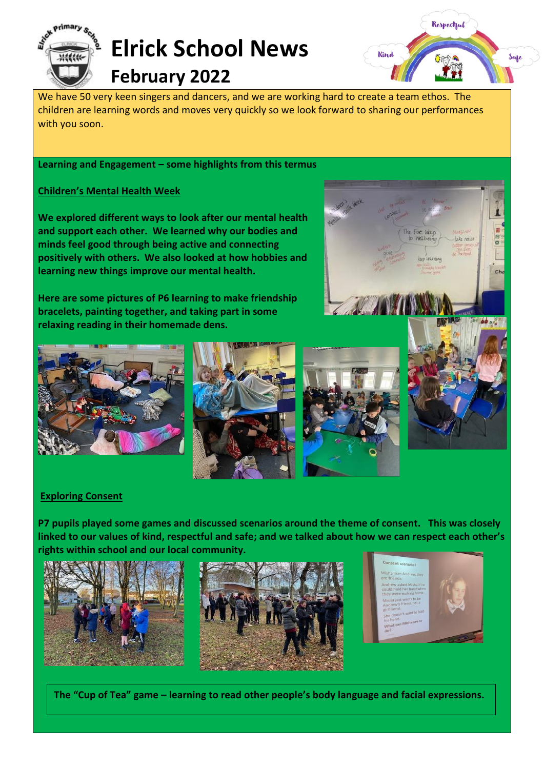

We have 50 very keen singers and dancers, and we are working hard to create a team ethos. The children are learning words and moves very quickly so we look forward to sharing our performances with you soon.

**Learning and Engagement – some highlights from this termus**

## **Children's Mental Health Week**

**We explored different ways to look after our mental health and support each other. We learned why our bodies and minds feel good through being active and connecting positively with others. We also looked at how hobbies and learning new things improve our mental health.** 

**Here are some pictures of P6 learning to make friendship bracelets, painting together, and taking part in some relaxing reading in their homemade dens.**



**Kind** 









Respectful

Safe

## **Exploring Consent**

**P7 pupils played some games and discussed scenarios around the theme of consent. This was closely linked to our values of kind, respectful and safe; and we talked about how we can respect each other's rights within school and our local community.**









**The "Cup of Tea" game – learning to read other people's body language and facial expressions.**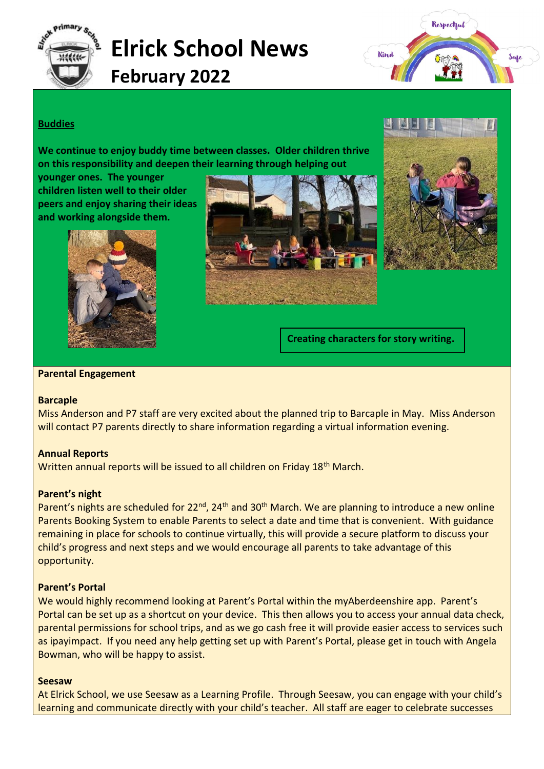



## **Buddies**

**We continue to enjoy buddy time between classes. Older children thrive on this responsibility and deepen their learning through helping out** 

**younger ones. The younger children listen well to their older peers and enjoy sharing their ideas and working alongside them.**







**Creating characters for story writing.**

#### **Parental Engagement**

#### **Barcaple**

Miss Anderson and P7 staff are very excited about the planned trip to Barcaple in May. Miss Anderson will contact P7 parents directly to share information regarding a virtual information evening.

## **Annual Reports**

Written annual reports will be issued to all children on Friday 18<sup>th</sup> March.

## **Parent's night**

Parent's nights are scheduled for 22<sup>nd</sup>, 24<sup>th</sup> and 30<sup>th</sup> March. We are planning to introduce a new online Parents Booking System to enable Parents to select a date and time that is convenient. With guidance remaining in place for schools to continue virtually, this will provide a secure platform to discuss your child's progress and next steps and we would encourage all parents to take advantage of this opportunity.

## **Parent's Portal**

We would highly recommend looking at Parent's Portal within the myAberdeenshire app. Parent's Portal can be set up as a shortcut on your device. This then allows you to access your annual data check, parental permissions for school trips, and as we go cash free it will provide easier access to services such as ipayimpact. If you need any help getting set up with Parent's Portal, please get in touch with Angela Bowman, who will be happy to assist.

#### **Seesaw**

At Elrick School, we use Seesaw as a Learning Profile. Through Seesaw, you can engage with your child's learning and communicate directly with your child's teacher. All staff are eager to celebrate successes